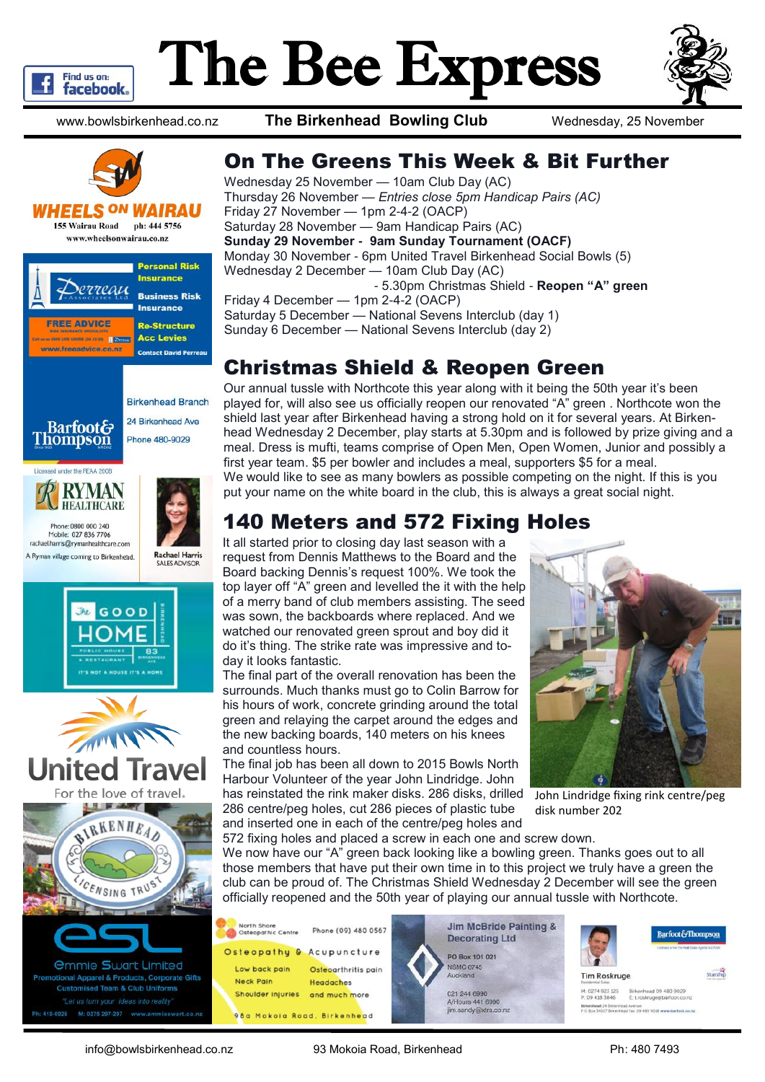

# The Bee Express



www.bowlsbirkenhead.co.nz **The Birkenhead Bowling Club** Wednesday, 25 November



#### **WHEELS <sup>ON</sup> WAIRAU**

**155 Wairau Road** ph: 444 5756 www.wheelsonwairau.co.nz

















### On The Greens This Week & Bit Further

Wednesday 25 November — 10am Club Day (AC) Thursday 26 November — *Entries close 5pm Handicap Pairs (AC)* Friday 27 November — 1pm 2-4-2 (OACP) Saturday 28 November — 9am Handicap Pairs (AC) **Sunday 29 November - 9am Sunday Tournament (OACF)** Monday 30 November - 6pm United Travel Birkenhead Social Bowls (5) Wednesday 2 December — 10am Club Day (AC) - 5.30pm Christmas Shield - **Reopen "A" green** Friday 4 December — 1pm 2-4-2 (OACP) Saturday 5 December — National Sevens Interclub (day 1) Sunday 6 December — National Sevens Interclub (day 2)

### Christmas Shield & Reopen Green

Our annual tussle with Northcote this year along with it being the 50th year it's been played for, will also see us officially reopen our renovated "A" green . Northcote won the shield last year after Birkenhead having a strong hold on it for several years. At Birkenhead Wednesday 2 December, play starts at 5.30pm and is followed by prize giving and a meal. Dress is mufti, teams comprise of Open Men, Open Women, Junior and possibly a first year team. \$5 per bowler and includes a meal, supporters \$5 for a meal. We would like to see as many bowlers as possible competing on the night. If this is you put your name on the white board in the club, this is always a great social night.

## 140 Meters and 572 Fixing Holes

It all started prior to closing day last season with a request from Dennis Matthews to the Board and the Board backing Dennis's request 100%. We took the top layer off "A" green and levelled the it with the help of a merry band of club members assisting. The seed was sown, the backboards where replaced. And we watched our renovated green sprout and boy did it do it's thing. The strike rate was impressive and today it looks fantastic.

The final part of the overall renovation has been the surrounds. Much thanks must go to Colin Barrow for his hours of work, concrete grinding around the total green and relaying the carpet around the edges and the new backing boards, 140 meters on his knees and countless hours.

The final job has been all down to 2015 Bowls North Harbour Volunteer of the year John Lindridge. John has reinstated the rink maker disks. 286 disks, drilled 286 centre/peg holes, cut 286 pieces of plastic tube and inserted one in each of the centre/peg holes and



John Lindridge fixing rink centre/peg disk number 202

572 fixing holes and placed a screw in each one and screw down. We now have our "A" green back looking like a bowling green. Thanks goes out to all those members that have put their own time in to this project we truly have a green the club can be proud of. The Christmas Shield Wednesday 2 December will see the green officially reopened and the 50th year of playing our annual tussle with Northcote.







Starship

**Tim Roskruge** 

M. 0274 923 125 Birkenhead 09 480 9029<br>P. 09 418 3846 E: troskrupe@barfoot.co ead 24 Brice

info@bowlsbirkenhead.co.nz 93 Mokoia Road, Birkenhead Ph: 480 7493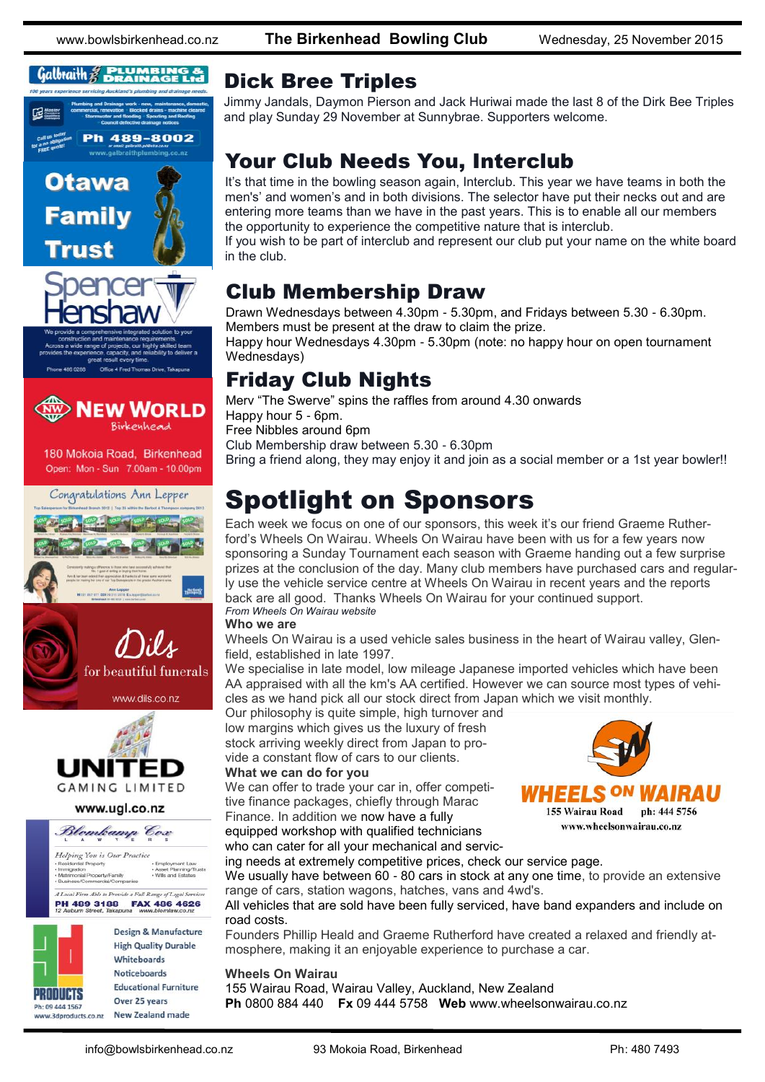www.bowlsbirkenhead.co.nz **The Birkenhead Bowling Club** Wednesday, 25 November 2015

### $\mathcal{G}$ albraith  $\mathcal{G}$  **PLUMBING &**



**Family** 



486.0288 Office 4 Fred Thomas Drive, Ta



180 Mokoia Road, Birkenhead Open: Mon - Sun 7.00am - 10.00pm



www.dils.co.nz



www.ugl.co.nz



A I and Firm Able to Describe a Full R. **PH 489 3188 FAX 486 4626** 



**Design & Manufacture High Quality Durable** Whiteboards **Noticeboards Educational Furniture** Over 25 years www.3dproducts.co.nz New Zealand made

### Dick Bree Triples

Jimmy Jandals, Daymon Pierson and Jack Huriwai made the last 8 of the Dirk Bee Triples and play Sunday 29 November at Sunnybrae. Supporters welcome.

### Your Club Needs You, Interclub

It's that time in the bowling season again, Interclub. This year we have teams in both the men's' and women's and in both divisions. The selector have put their necks out and are entering more teams than we have in the past years. This is to enable all our members the opportunity to experience the competitive nature that is interclub.

If you wish to be part of interclub and represent our club put your name on the white board in the club.

### Club Membership Draw

Drawn Wednesdays between 4.30pm - 5.30pm, and Fridays between 5.30 - 6.30pm. Members must be present at the draw to claim the prize.

Happy hour Wednesdays 4.30pm - 5.30pm (note: no happy hour on open tournament Wednesdays)

### Friday Club Nights

Merv "The Swerve" spins the raffles from around 4.30 onwards Happy hour 5 - 6pm. Free Nibbles around 6pm Club Membership draw between 5.30 - 6.30pm Bring a friend along, they may enjoy it and join as a social member or a 1st year bowler!!

## Spotlight on Sponsors

Each week we focus on one of our sponsors, this week it's our friend Graeme Rutherford's Wheels On Wairau. Wheels On Wairau have been with us for a few years now sponsoring a Sunday Tournament each season with Graeme handing out a few surprise prizes at the conclusion of the day. Many club members have purchased cars and regularly use the vehicle service centre at Wheels On Wairau in recent years and the reports back are all good. Thanks Wheels On Wairau for your continued support. *From Wheels On Wairau website*

#### **Who we are**

Wheels On Wairau is a used vehicle sales business in the heart of Wairau valley, Glenfield, established in late 1997.

We specialise in late model, low mileage Japanese imported vehicles which have been AA appraised with all the km's AA certified. However we can source most types of vehicles as we hand pick all our stock direct from Japan which we visit monthly.

Our philosophy is quite simple, high turnover and low margins which gives us the luxury of fresh stock arriving weekly direct from Japan to provide a constant flow of cars to our clients.

#### **What we can do for you**

We can offer to trade your car in, offer competitive finance packages, chiefly through Marac Finance. In addition we now have a fully

equipped workshop with qualified technicians who can cater for all your mechanical and servic-



ing needs at extremely competitive prices, check our service page. We usually have between 60 - 80 cars in stock at any one time, to provide an extensive range of cars, station wagons, hatches, vans and 4wd's.

All vehicles that are sold have been fully serviced, have band expanders and include on road costs.

Founders Phillip Heald and Graeme Rutherford have created a relaxed and friendly atmosphere, making it an enjoyable experience to purchase a car.

#### **Wheels On Wairau**

155 Wairau Road, Wairau Valley, Auckland, New Zealand **Ph** 0800 884 440 **Fx** 09 444 5758 **Web** www.wheelsonwairau.co.nz

www.wheelsonwairau.co.nz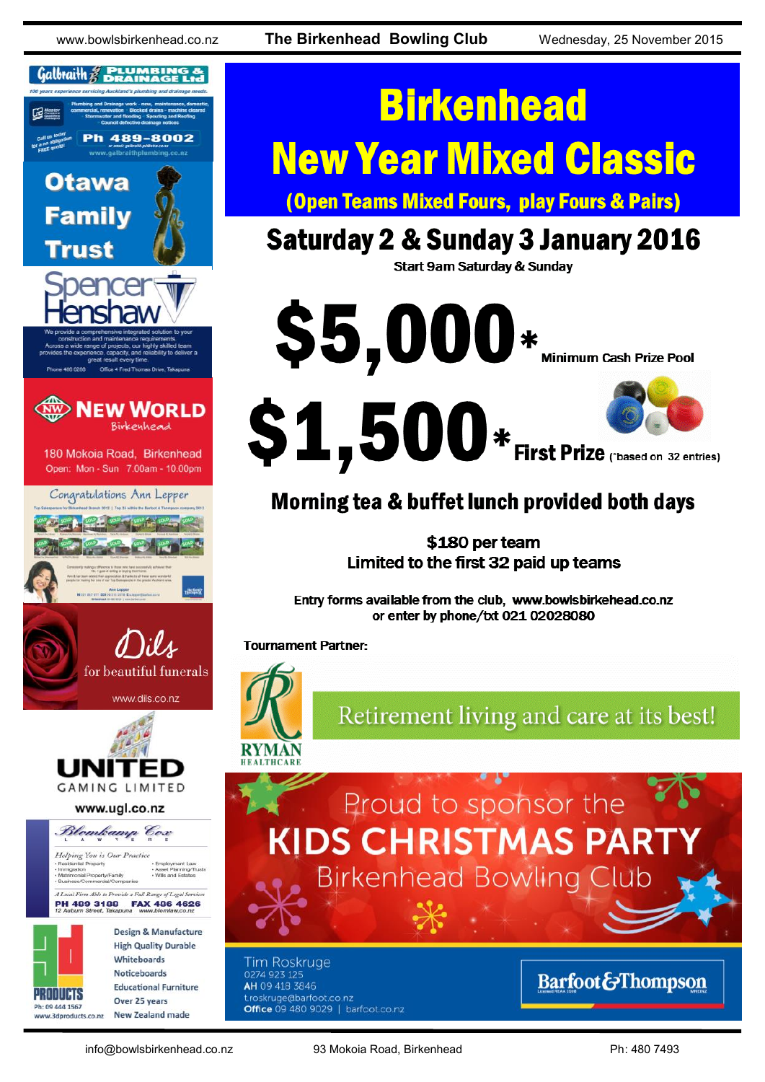www.bowlsbirkenhead.co.nz **The Birkenhead Bowling Club** Wednesday, 25 November 2015



# **Birkenhead New Year Mixed Classic**

**(Open Teams Mixed Fours, play Fours & Pairs)** 

# **Saturday 2 & Sunday 3 January 2016**

**Start 9am Saturday & Sunday** 



## Morning tea & buffet lunch provided both days

\$180 per team Limited to the first 32 paid up teams

Entry forms available from the club, www.bowlsbirkehead.co.nz or enter by phone/txt 021 02028080

**Tournament Partner:** 



Retirement living and care at its best!

Proud to sponsor the **KIDS CHRISTMAS PAR Birkenhead Bowling Club** 

**Tim Roskruge** 0274 923 125 AH 09 418 3846 roskruge@barfoot.co.nz Office 09 480 9029 | barfoot.co.nz

## **Barfoot&Thompson**

info@bowlsbirkenhead.co.nz 93 Mokoia Road, Birkenhead Ph: 480 7493